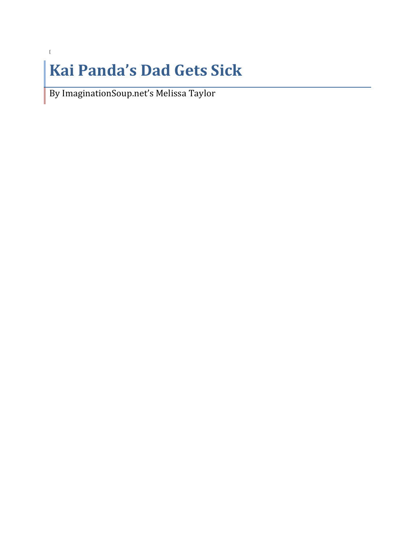## **Kai Panda's Dad Gets Sick**

By ImaginationSoup.net's Melissa Taylor

 $\mathfrak l$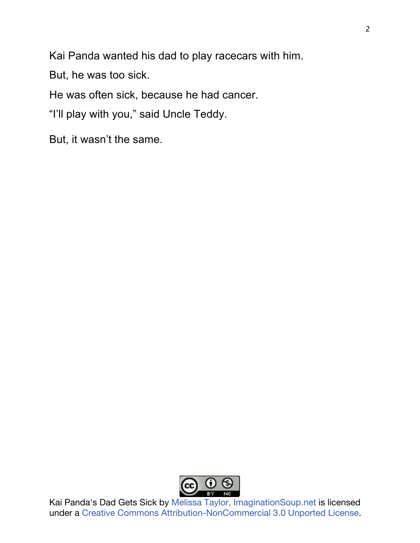Kai Panda wanted his dad to play racecars with him.

But, he was too sick.

He was often sick, because he had cancer.

"I'll play with you," said Uncle Teddy.

But, it wasn't the same.

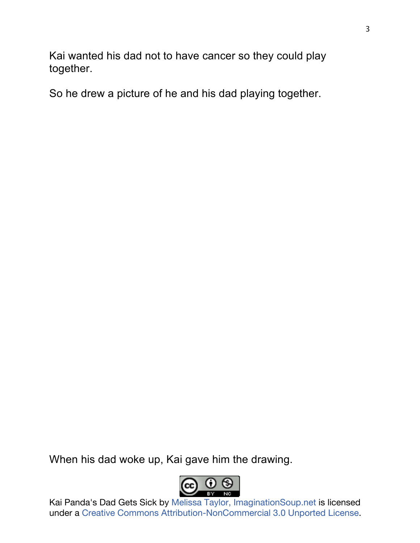Kai wanted his dad not to have cancer so they could play together.

So he drew a picture of he and his dad playing together.

When his dad woke up, Kai gave him the drawing.

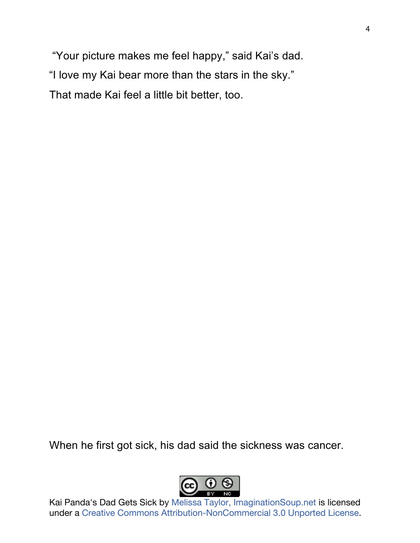"Your picture makes me feel happy," said Kai's dad. "I love my Kai bear more than the stars in the sky." That made Kai feel a little bit better, too.

When he first got sick, his dad said the sickness was cancer.

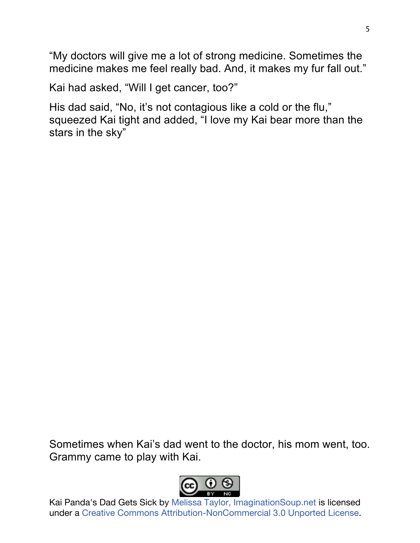"My doctors will give me a lot of strong medicine. Sometimes the medicine makes me feel really bad. And, it makes my fur fall out."

Kai had asked, "Will I get cancer, too?"

His dad said, "No, it's not contagious like a cold or the flu," squeezed Kai tight and added, "I love my Kai bear more than the stars in the sky"

Sometimes when Kai's dad went to the doctor, his mom went, too. Grammy came to play with Kai.

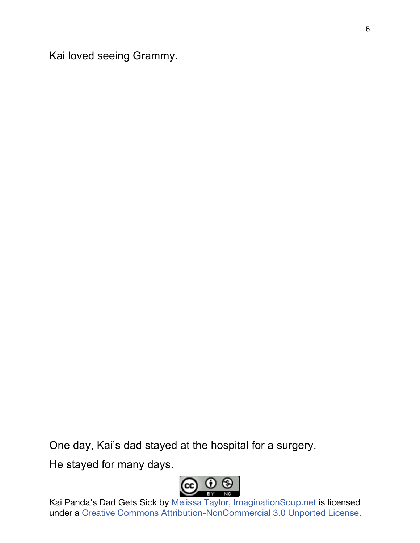Kai loved seeing Grammy.

One day, Kai's dad stayed at the hospital for a surgery.

He stayed for many days.

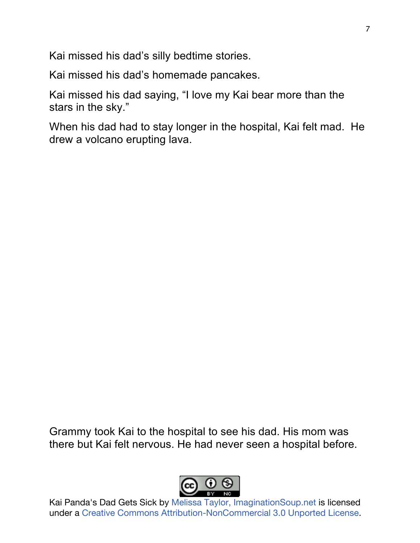Kai missed his dad's silly bedtime stories.

Kai missed his dad's homemade pancakes.

Kai missed his dad saying, "I love my Kai bear more than the stars in the sky."

When his dad had to stay longer in the hospital, Kai felt mad. He drew a volcano erupting lava.

Grammy took Kai to the hospital to see his dad. His mom was there but Kai felt nervous. He had never seen a hospital before.

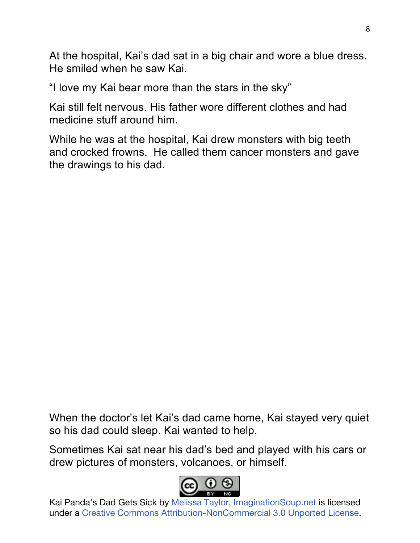At the hospital, Kai's dad sat in a big chair and wore a blue dress. He smiled when he saw Kai.

"I love my Kai bear more than the stars in the sky"

Kai still felt nervous. His father wore different clothes and had medicine stuff around him.

While he was at the hospital, Kai drew monsters with big teeth and crocked frowns. He called them cancer monsters and gave the drawings to his dad.

When the doctor's let Kai's dad came home, Kai stayed very quiet so his dad could sleep. Kai wanted to help.

Sometimes Kai sat near his dad's bed and played with his cars or drew pictures of monsters, volcanoes, or himself.

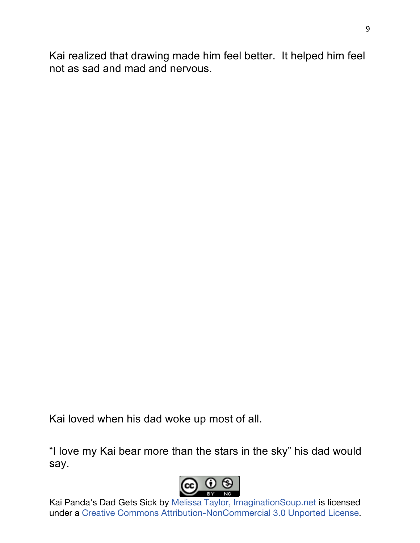Kai realized that drawing made him feel better. It helped him feel not as sad and mad and nervous.

Kai loved when his dad woke up most of all.

"I love my Kai bear more than the stars in the sky" his dad would say.

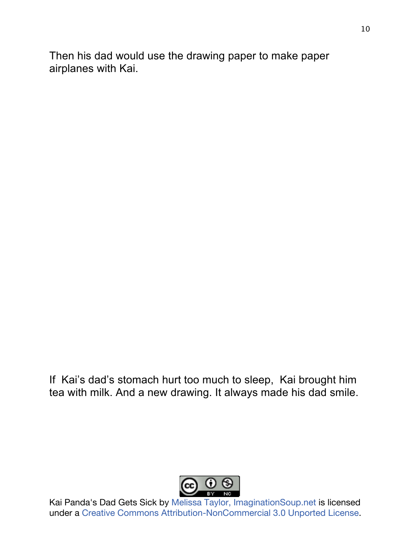Then his dad would use the drawing paper to make paper airplanes with Kai.

If Kai's dad's stomach hurt too much to sleep, Kai brought him tea with milk. And a new drawing. It always made his dad smile.

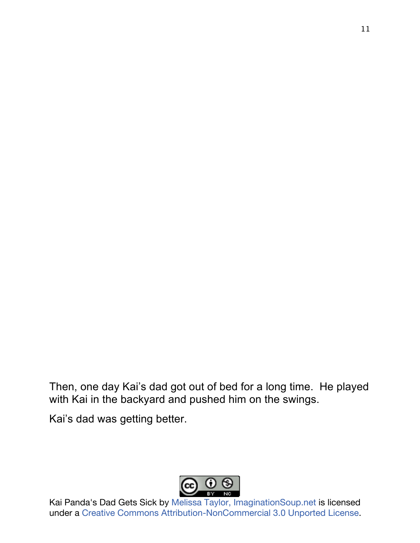Then, one day Kai's dad got out of bed for a long time. He played with Kai in the backyard and pushed him on the swings.

Kai's dad was getting better.

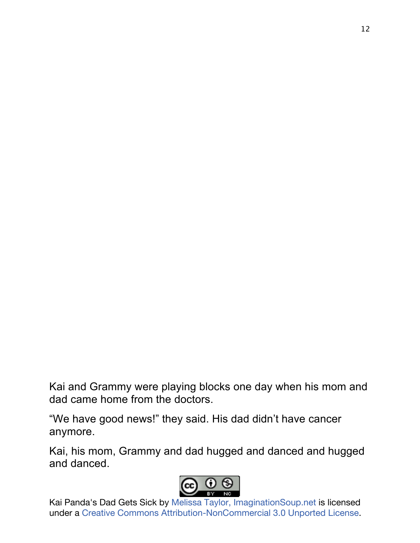Kai and Grammy were playing blocks one day when his mom and dad came home from the doctors.

"We have good news!" they said. His dad didn't have cancer anymore.

Kai, his mom, Grammy and dad hugged and danced and hugged and danced.

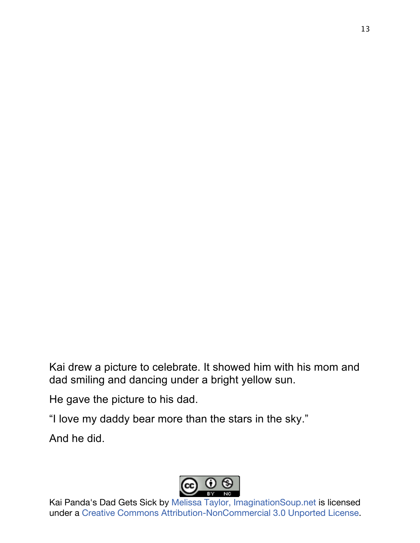Kai drew a picture to celebrate. It showed him with his mom and dad smiling and dancing under a bright yellow sun.

He gave the picture to his dad.

"I love my daddy bear more than the stars in the sky."

And he did.